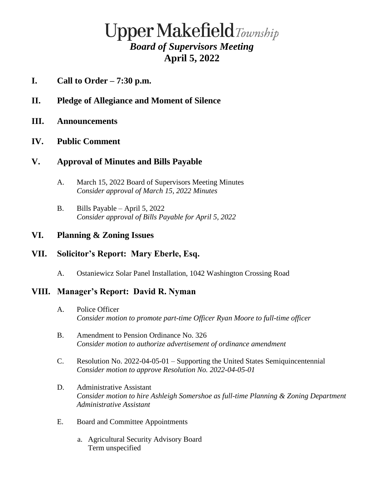# **Upper Makefield**Township *Board of Supervisors Meeting* **April 5, 2022**

- **I. Call to Order – 7:30 p.m.**
- **II. Pledge of Allegiance and Moment of Silence**
- **III. Announcements**
- **IV. Public Comment**

## **V. Approval of Minutes and Bills Payable**

- A. March 15, 2022 Board of Supervisors Meeting Minutes *Consider approval of March 15, 2022 Minutes*
- B. Bills Payable April 5, 2022 *Consider approval of Bills Payable for April 5, 2022*

#### **VI. Planning & Zoning Issues**

## **VII. Solicitor's Report: Mary Eberle, Esq.**

A. Ostaniewicz Solar Panel Installation, 1042 Washington Crossing Road

## **VIII. Manager's Report: David R. Nyman**

- A. Police Officer *Consider motion to promote part-time Officer Ryan Moore to full-time officer*
- B. Amendment to Pension Ordinance No. 326 *Consider motion to authorize advertisement of ordinance amendment*
- C. Resolution No. 2022-04-05-01 Supporting the United States Semiquincentennial *Consider motion to approve Resolution No. 2022-04-05-01*
- D. Administrative Assistant *Consider motion to hire Ashleigh Somershoe as full-time Planning & Zoning Department Administrative Assistant*
- E. Board and Committee Appointments
	- a. Agricultural Security Advisory Board Term unspecified